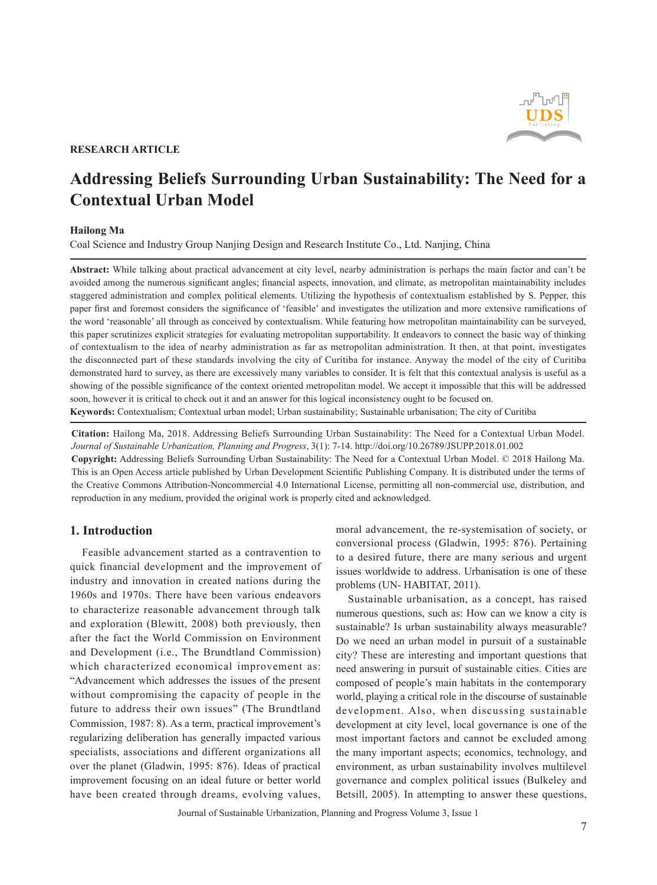

#### **RESEARCH ARTICLE**

# **Addressing Beliefs Surrounding Urban Sustainability: The Need for a Contextual Urban Model**

#### **Hailong Ma**

Coal Science and Industry Group Nanjing Design and Research Institute Co., Ltd. Nanjing, China

**Abstract:** While talking about practical advancement at city level, nearby administration is perhaps the main factor and can't be avoided among the numerous significant angles; financial aspects, innovation, and climate, as metropolitan maintainability includes staggered administration and complex political elements. Utilizing the hypothesis of contextualism established by S. Pepper, this paper first and foremost considers the significance of 'feasible' and investigates the utilization and more extensive ramifications of the word 'reasonable' all through as conceived by contextualism. While featuring how metropolitan maintainability can be surveyed, this paper scrutinizes explicit strategies for evaluating metropolitan supportability. It endeavors to connect the basic way of thinking of contextualism to the idea of nearby administration as far as metropolitan administration. It then, at that point, investigates the disconnected part of these standards involving the city of Curitiba for instance. Anyway the model of the city of Curitiba demonstrated hard to survey, as there are excessively many variables to consider. It is felt that this contextual analysis is useful as a showing of the possible significance of the context oriented metropolitan model. We accept it impossible that this will be addressed soon, however it is critical to check out it and an answer for this logical inconsistency ought to be focused on. **Keywords:** Contextualism; Contextual urban model; Urban sustainability; Sustainable urbanisation; The city of Curitiba

reproduction in any medium, provided the original work is properly cited and acknowledged.

**Citation:** Hailong Ma, 2018. Addressing Beliefs Surrounding Urban Sustainability: The Need for a Contextual Urban Model. *Journal of Sustainable Urbanization, Planning and Progress*, 3(1): 7-14. http://doi.org/10.26789/JSUPP.2018.01.002 **Copyright:** Addressing Beliefs Surrounding Urban Sustainability: The Need for a Contextual Urban Model. © 2018 Hailong Ma. This is an Open Access article published by Urban Development Scientific Publishing Company. It is distributed under the terms of the Creative Commons Attribution-Noncommercial 4.0 International License, permitting all non-commercial use, distribution, and

#### **1. Introduction**

Feasible advancement started as a contravention to quick financial development and the improvement of industry and innovation in created nations during the 1960s and 1970s. There have been various endeavors to characterize reasonable advancement through talk and exploration (Blewitt, 2008) both previously, then after the fact the World Commission on Environment and Development (i.e., The Brundtland Commission) which characterized economical improvement as: "Advancement which addresses the issues of the present without compromising the capacity of people in the future to address their own issues" (The Brundtland Commission, 1987: 8). As a term, practical improvement's regularizing deliberation has generally impacted various specialists, associations and different organizations all over the planet (Gladwin, 1995: 876). Ideas of practical improvement focusing on an ideal future or better world have been created through dreams, evolving values, moral advancement, the re-systemisation of society, or conversional process (Gladwin, 1995: 876). Pertaining to a desired future, there are many serious and urgent issues worldwide to address. Urbanisation is one of these problems (UN- HABITAT, 2011).

Sustainable urbanisation, as a concept, has raised numerous questions, such as: How can we know a city is sustainable? Is urban sustainability always measurable? Do we need an urban model in pursuit of a sustainable city? These are interesting and important questions that need answering in pursuit of sustainable cities. Cities are composed of people's main habitats in the contemporary world, playing a critical role in the discourse of sustainable development. Also, when discussing sustainable development at city level, local governance is one of the most important factors and cannot be excluded among the many important aspects; economics, technology, and environment, as urban sustainability involves multilevel governance and complex political issues (Bulkeley and Betsill, 2005). In attempting to answer these questions,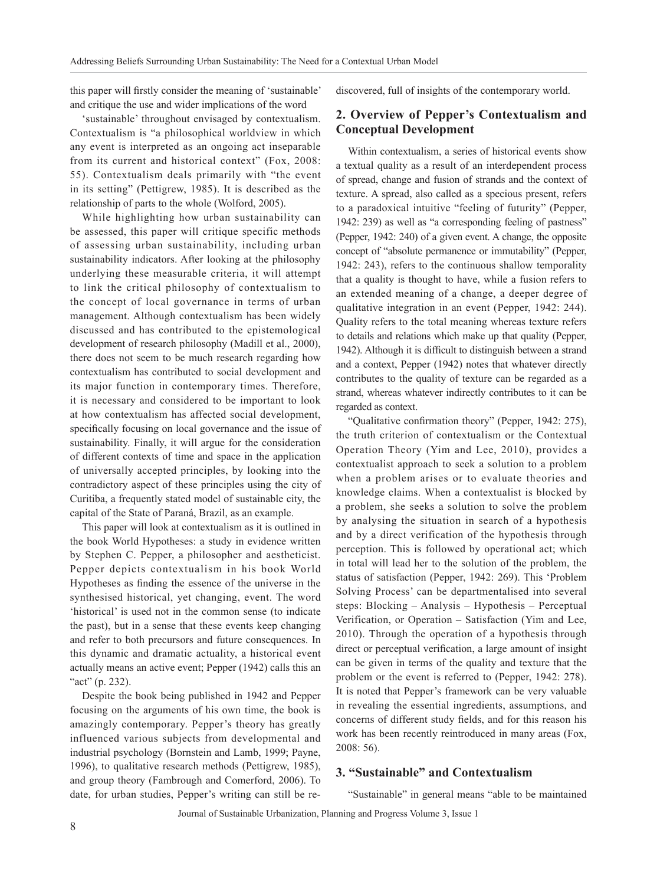this paper will firstly consider the meaning of 'sustainable' and critique the use and wider implications of the word

'sustainable' throughout envisaged by contextualism. Contextualism is "a philosophical worldview in which any event is interpreted as an ongoing act inseparable from its current and historical context" (Fox, 2008: 55). Contextualism deals primarily with "the event in its setting" (Pettigrew, 1985). It is described as the relationship of parts to the whole (Wolford, 2005).

While highlighting how urban sustainability can be assessed, this paper will critique specific methods of assessing urban sustainability, including urban sustainability indicators. After looking at the philosophy underlying these measurable criteria, it will attempt to link the critical philosophy of contextualism to the concept of local governance in terms of urban management. Although contextualism has been widely discussed and has contributed to the epistemological development of research philosophy (Madill et al., 2000), there does not seem to be much research regarding how contextualism has contributed to social development and its major function in contemporary times. Therefore, it is necessary and considered to be important to look at how contextualism has affected social development, specifically focusing on local governance and the issue of sustainability. Finally, it will argue for the consideration of different contexts of time and space in the application of universally accepted principles, by looking into the contradictory aspect of these principles using the city of Curitiba, a frequently stated model of sustainable city, the capital of the State of Paraná, Brazil, as an example.

This paper will look at contextualism as it is outlined in the book World Hypotheses: a study in evidence written by Stephen C. Pepper, a philosopher and aestheticist. Pepper depicts contextualism in his book World Hypotheses as finding the essence of the universe in the synthesised historical, yet changing, event. The word 'historical' is used not in the common sense (to indicate the past), but in a sense that these events keep changing and refer to both precursors and future consequences. In this dynamic and dramatic actuality, a historical event actually means an active event; Pepper (1942) calls this an "act" (p. 232).

Despite the book being published in 1942 and Pepper focusing on the arguments of his own time, the book is amazingly contemporary. Pepper's theory has greatly influenced various subjects from developmental and industrial psychology (Bornstein and Lamb, 1999; Payne, 1996), to qualitative research methods (Pettigrew, 1985), and group theory (Fambrough and Comerford, 2006). To date, for urban studies, Pepper's writing can still be rediscovered, full of insights of the contemporary world.

# **2. Overview of Pepper's Contextualism and Conceptual Development**

Within contextualism, a series of historical events show a textual quality as a result of an interdependent process of spread, change and fusion of strands and the context of texture. A spread, also called as a specious present, refers to a paradoxical intuitive "feeling of futurity" (Pepper, 1942: 239) as well as "a corresponding feeling of pastness" (Pepper, 1942: 240) of a given event. A change, the opposite concept of "absolute permanence or immutability" (Pepper, 1942: 243), refers to the continuous shallow temporality that a quality is thought to have, while a fusion refers to an extended meaning of a change, a deeper degree of qualitative integration in an event (Pepper, 1942: 244). Quality refers to the total meaning whereas texture refers to details and relations which make up that quality (Pepper, 1942). Although it is difficult to distinguish between a strand and a context, Pepper (1942) notes that whatever directly contributes to the quality of texture can be regarded as a strand, whereas whatever indirectly contributes to it can be regarded as context.

"Qualitative confirmation theory" (Pepper, 1942: 275), the truth criterion of contextualism or the Contextual Operation Theory (Yim and Lee, 2010), provides a contextualist approach to seek a solution to a problem when a problem arises or to evaluate theories and knowledge claims. When a contextualist is blocked by a problem, she seeks a solution to solve the problem by analysing the situation in search of a hypothesis and by a direct verification of the hypothesis through perception. This is followed by operational act; which in total will lead her to the solution of the problem, the status of satisfaction (Pepper, 1942: 269). This 'Problem Solving Process' can be departmentalised into several steps: Blocking – Analysis – Hypothesis – Perceptual Verification, or Operation – Satisfaction (Yim and Lee, 2010). Through the operation of a hypothesis through direct or perceptual verification, a large amount of insight can be given in terms of the quality and texture that the problem or the event is referred to (Pepper, 1942: 278). It is noted that Pepper's framework can be very valuable in revealing the essential ingredients, assumptions, and concerns of different study fields, and for this reason his work has been recently reintroduced in many areas (Fox, 2008: 56).

# **3. "Sustainable" and Contextualism**

"Sustainable" in general means "able to be maintained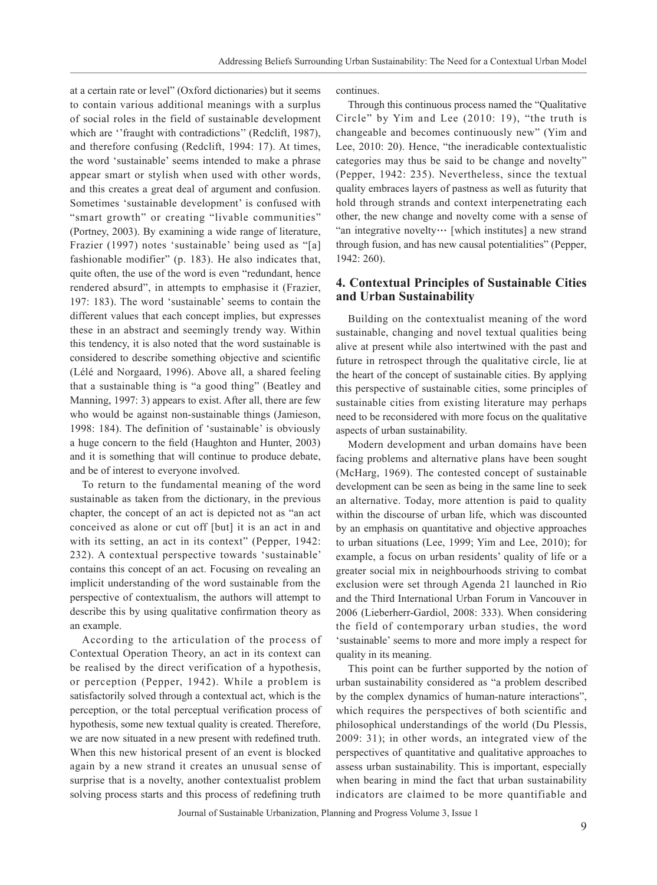at a certain rate or level" (Oxford dictionaries) but it seems to contain various additional meanings with a surplus of social roles in the field of sustainable development which are "fraught with contradictions" (Redclift, 1987), and therefore confusing (Redclift, 1994: 17). At times, the word 'sustainable' seems intended to make a phrase appear smart or stylish when used with other words, and this creates a great deal of argument and confusion. Sometimes 'sustainable development' is confused with "smart growth" or creating "livable communities" (Portney, 2003). By examining a wide range of literature, Frazier (1997) notes 'sustainable' being used as "[a] fashionable modifier" (p. 183). He also indicates that, quite often, the use of the word is even "redundant, hence rendered absurd", in attempts to emphasise it (Frazier, 197: 183). The word 'sustainable' seems to contain the different values that each concept implies, but expresses these in an abstract and seemingly trendy way. Within this tendency, it is also noted that the word sustainable is considered to describe something objective and scientific (Lélé and Norgaard, 1996). Above all, a shared feeling that a sustainable thing is "a good thing" (Beatley and Manning, 1997: 3) appears to exist. After all, there are few who would be against non-sustainable things (Jamieson, 1998: 184). The definition of 'sustainable' is obviously a huge concern to the field (Haughton and Hunter, 2003) and it is something that will continue to produce debate, and be of interest to everyone involved.

To return to the fundamental meaning of the word sustainable as taken from the dictionary, in the previous chapter, the concept of an act is depicted not as "an act conceived as alone or cut off [but] it is an act in and with its setting, an act in its context" (Pepper, 1942: 232). A contextual perspective towards 'sustainable' contains this concept of an act. Focusing on revealing an implicit understanding of the word sustainable from the perspective of contextualism, the authors will attempt to describe this by using qualitative confirmation theory as an example.

According to the articulation of the process of Contextual Operation Theory, an act in its context can be realised by the direct verification of a hypothesis, or perception (Pepper, 1942). While a problem is satisfactorily solved through a contextual act, which is the perception, or the total perceptual verification process of hypothesis, some new textual quality is created. Therefore, we are now situated in a new present with redefined truth. When this new historical present of an event is blocked again by a new strand it creates an unusual sense of surprise that is a novelty, another contextualist problem solving process starts and this process of redefining truth continues.

Through this continuous process named the "Qualitative Circle" by Yim and Lee (2010: 19), "the truth is changeable and becomes continuously new" (Yim and Lee, 2010: 20). Hence, "the ineradicable contextualistic categories may thus be said to be change and novelty" (Pepper, 1942: 235). Nevertheless, since the textual quality embraces layers of pastness as well as futurity that hold through strands and context interpenetrating each other, the new change and novelty come with a sense of "an integrative novelty" [which institutes] a new strand through fusion, and has new causal potentialities" (Pepper, 1942: 260).

## **4. Contextual Principles of Sustainable Cities and Urban Sustainability**

Building on the contextualist meaning of the word sustainable, changing and novel textual qualities being alive at present while also intertwined with the past and future in retrospect through the qualitative circle, lie at the heart of the concept of sustainable cities. By applying this perspective of sustainable cities, some principles of sustainable cities from existing literature may perhaps need to be reconsidered with more focus on the qualitative aspects of urban sustainability.

Modern development and urban domains have been facing problems and alternative plans have been sought (McHarg, 1969). The contested concept of sustainable development can be seen as being in the same line to seek an alternative. Today, more attention is paid to quality within the discourse of urban life, which was discounted by an emphasis on quantitative and objective approaches to urban situations (Lee, 1999; Yim and Lee, 2010); for example, a focus on urban residents' quality of life or a greater social mix in neighbourhoods striving to combat exclusion were set through Agenda 21 launched in Rio and the Third International Urban Forum in Vancouver in 2006 (Lieberherr-Gardiol, 2008: 333). When considering the field of contemporary urban studies, the word 'sustainable' seems to more and more imply a respect for quality in its meaning.

This point can be further supported by the notion of urban sustainability considered as "a problem described by the complex dynamics of human-nature interactions", which requires the perspectives of both scientific and philosophical understandings of the world (Du Plessis, 2009: 31); in other words, an integrated view of the perspectives of quantitative and qualitative approaches to assess urban sustainability. This is important, especially when bearing in mind the fact that urban sustainability indicators are claimed to be more quantifiable and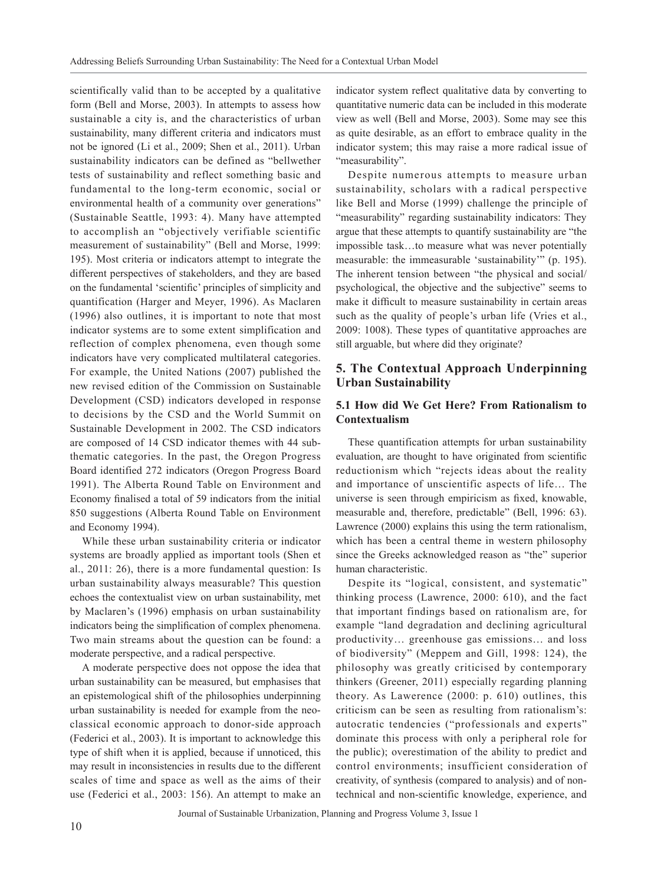scientifically valid than to be accepted by a qualitative form (Bell and Morse, 2003). In attempts to assess how sustainable a city is, and the characteristics of urban sustainability, many different criteria and indicators must not be ignored (Li et al., 2009; Shen et al., 2011). Urban sustainability indicators can be defined as "bellwether tests of sustainability and reflect something basic and fundamental to the long-term economic, social or environmental health of a community over generations" (Sustainable Seattle, 1993: 4). Many have attempted to accomplish an "objectively verifiable scientific measurement of sustainability" (Bell and Morse, 1999: 195). Most criteria or indicators attempt to integrate the different perspectives of stakeholders, and they are based on the fundamental 'scientific' principles of simplicity and quantification (Harger and Meyer, 1996). As Maclaren (1996) also outlines, it is important to note that most indicator systems are to some extent simplification and reflection of complex phenomena, even though some indicators have very complicated multilateral categories. For example, the United Nations (2007) published the new revised edition of the Commission on Sustainable Development (CSD) indicators developed in response to decisions by the CSD and the World Summit on Sustainable Development in 2002. The CSD indicators are composed of 14 CSD indicator themes with 44 subthematic categories. In the past, the Oregon Progress Board identified 272 indicators (Oregon Progress Board 1991). The Alberta Round Table on Environment and Economy finalised a total of 59 indicators from the initial 850 suggestions (Alberta Round Table on Environment and Economy 1994).

While these urban sustainability criteria or indicator systems are broadly applied as important tools (Shen et al., 2011: 26), there is a more fundamental question: Is urban sustainability always measurable? This question echoes the contextualist view on urban sustainability, met by Maclaren's (1996) emphasis on urban sustainability indicators being the simplification of complex phenomena. Two main streams about the question can be found: a moderate perspective, and a radical perspective.

A moderate perspective does not oppose the idea that urban sustainability can be measured, but emphasises that an epistemological shift of the philosophies underpinning urban sustainability is needed for example from the neoclassical economic approach to donor-side approach (Federici et al., 2003). It is important to acknowledge this type of shift when it is applied, because if unnoticed, this may result in inconsistencies in results due to the different scales of time and space as well as the aims of their use (Federici et al., 2003: 156). An attempt to make an

indicator system reflect qualitative data by converting to quantitative numeric data can be included in this moderate view as well (Bell and Morse, 2003). Some may see this as quite desirable, as an effort to embrace quality in the indicator system; this may raise a more radical issue of "measurability".

Despite numerous attempts to measure urban sustainability, scholars with a radical perspective like Bell and Morse (1999) challenge the principle of "measurability" regarding sustainability indicators: They argue that these attempts to quantify sustainability are "the impossible task…to measure what was never potentially measurable: the immeasurable 'sustainability'" (p. 195). The inherent tension between "the physical and social/ psychological, the objective and the subjective" seems to make it difficult to measure sustainability in certain areas such as the quality of people's urban life (Vries et al., 2009: 1008). These types of quantitative approaches are still arguable, but where did they originate?

# **5. The Contextual Approach Underpinning Urban Sustainability**

### **5.1 How did We Get Here? From Rationalism to Contextualism**

These quantification attempts for urban sustainability evaluation, are thought to have originated from scientific reductionism which "rejects ideas about the reality and importance of unscientific aspects of life… The universe is seen through empiricism as fixed, knowable, measurable and, therefore, predictable" (Bell, 1996: 63). Lawrence (2000) explains this using the term rationalism, which has been a central theme in western philosophy since the Greeks acknowledged reason as "the" superior human characteristic.

Despite its "logical, consistent, and systematic" thinking process (Lawrence, 2000: 610), and the fact that important findings based on rationalism are, for example "land degradation and declining agricultural productivity… greenhouse gas emissions… and loss of biodiversity" (Meppem and Gill, 1998: 124), the philosophy was greatly criticised by contemporary thinkers (Greener, 2011) especially regarding planning theory. As Lawerence (2000: p. 610) outlines, this criticism can be seen as resulting from rationalism's: autocratic tendencies ("professionals and experts" dominate this process with only a peripheral role for the public); overestimation of the ability to predict and control environments; insufficient consideration of creativity, of synthesis (compared to analysis) and of nontechnical and non-scientific knowledge, experience, and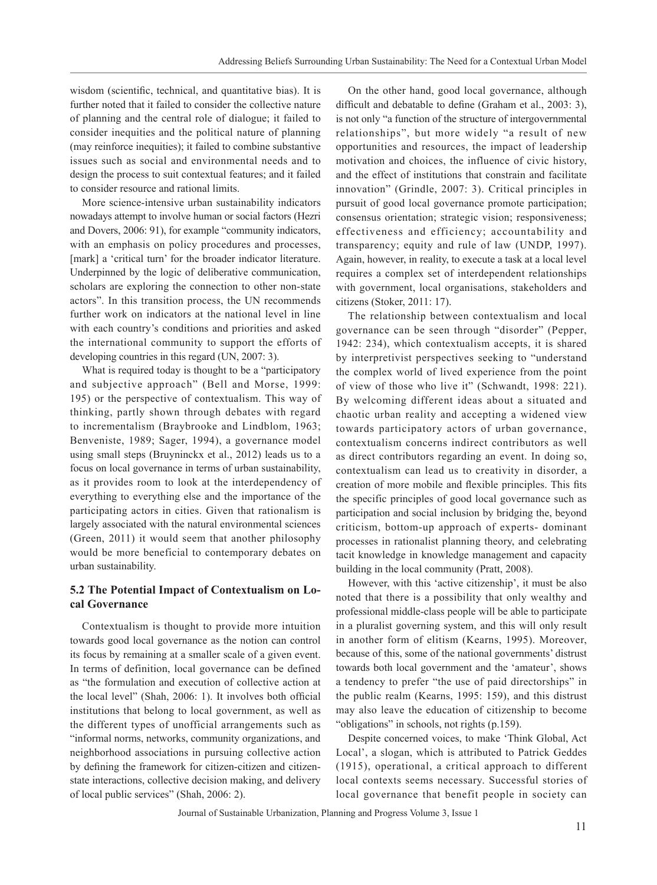wisdom (scientific, technical, and quantitative bias). It is further noted that it failed to consider the collective nature of planning and the central role of dialogue; it failed to consider inequities and the political nature of planning (may reinforce inequities); it failed to combine substantive issues such as social and environmental needs and to design the process to suit contextual features; and it failed to consider resource and rational limits.

More science-intensive urban sustainability indicators nowadays attempt to involve human or social factors (Hezri and Dovers, 2006: 91), for example "community indicators, with an emphasis on policy procedures and processes, [mark] a 'critical turn' for the broader indicator literature. Underpinned by the logic of deliberative communication, scholars are exploring the connection to other non-state actors". In this transition process, the UN recommends further work on indicators at the national level in line with each country's conditions and priorities and asked the international community to support the efforts of developing countries in this regard (UN, 2007: 3).

What is required today is thought to be a "participatory and subjective approach" (Bell and Morse, 1999: 195) or the perspective of contextualism. This way of thinking, partly shown through debates with regard to incrementalism (Braybrooke and Lindblom, 1963; Benveniste, 1989; Sager, 1994), a governance model using small steps (Bruyninckx et al., 2012) leads us to a focus on local governance in terms of urban sustainability, as it provides room to look at the interdependency of everything to everything else and the importance of the participating actors in cities. Given that rationalism is largely associated with the natural environmental sciences (Green, 2011) it would seem that another philosophy would be more beneficial to contemporary debates on urban sustainability.

# **5.2 The Potential Impact of Contextualism on Local Governance**

Contextualism is thought to provide more intuition towards good local governance as the notion can control its focus by remaining at a smaller scale of a given event. In terms of definition, local governance can be defined as "the formulation and execution of collective action at the local level" (Shah, 2006: 1). It involves both official institutions that belong to local government, as well as the different types of unofficial arrangements such as "informal norms, networks, community organizations, and neighborhood associations in pursuing collective action by defining the framework for citizen-citizen and citizenstate interactions, collective decision making, and delivery of local public services" (Shah, 2006: 2).

On the other hand, good local governance, although difficult and debatable to define (Graham et al., 2003: 3), is not only "a function of the structure of intergovernmental relationships", but more widely "a result of new opportunities and resources, the impact of leadership motivation and choices, the influence of civic history, and the effect of institutions that constrain and facilitate innovation" (Grindle, 2007: 3). Critical principles in pursuit of good local governance promote participation; consensus orientation; strategic vision; responsiveness; effectiveness and efficiency; accountability and transparency; equity and rule of law (UNDP, 1997). Again, however, in reality, to execute a task at a local level requires a complex set of interdependent relationships with government, local organisations, stakeholders and citizens (Stoker, 2011: 17).

The relationship between contextualism and local governance can be seen through "disorder" (Pepper, 1942: 234), which contextualism accepts, it is shared by interpretivist perspectives seeking to "understand the complex world of lived experience from the point of view of those who live it" (Schwandt, 1998: 221). By welcoming different ideas about a situated and chaotic urban reality and accepting a widened view towards participatory actors of urban governance, contextualism concerns indirect contributors as well as direct contributors regarding an event. In doing so, contextualism can lead us to creativity in disorder, a creation of more mobile and flexible principles. This fits the specific principles of good local governance such as participation and social inclusion by bridging the, beyond criticism, bottom-up approach of experts- dominant processes in rationalist planning theory, and celebrating tacit knowledge in knowledge management and capacity building in the local community (Pratt, 2008).

However, with this 'active citizenship', it must be also noted that there is a possibility that only wealthy and professional middle-class people will be able to participate in a pluralist governing system, and this will only result in another form of elitism (Kearns, 1995). Moreover, because of this, some of the national governments' distrust towards both local government and the 'amateur', shows a tendency to prefer "the use of paid directorships" in the public realm (Kearns, 1995: 159), and this distrust may also leave the education of citizenship to become "obligations" in schools, not rights (p.159).

Despite concerned voices, to make 'Think Global, Act Local', a slogan, which is attributed to Patrick Geddes (1915), operational, a critical approach to different local contexts seems necessary. Successful stories of local governance that benefit people in society can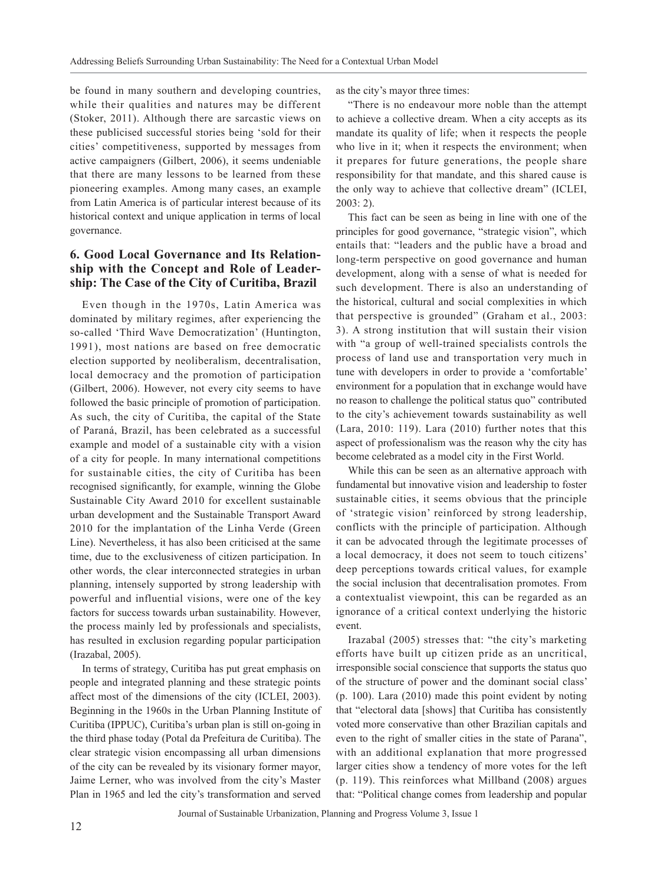be found in many southern and developing countries, while their qualities and natures may be different (Stoker, 2011). Although there are sarcastic views on these publicised successful stories being 'sold for their cities' competitiveness, supported by messages from active campaigners (Gilbert, 2006), it seems undeniable that there are many lessons to be learned from these pioneering examples. Among many cases, an example from Latin America is of particular interest because of its historical context and unique application in terms of local governance.

# **6. Good Local Governance and Its Relationship with the Concept and Role of Leadership: The Case of the City of Curitiba, Brazil**

Even though in the 1970s, Latin America was dominated by military regimes, after experiencing the so-called 'Third Wave Democratization' (Huntington, 1991), most nations are based on free democratic election supported by neoliberalism, decentralisation, local democracy and the promotion of participation (Gilbert, 2006). However, not every city seems to have followed the basic principle of promotion of participation. As such, the city of Curitiba, the capital of the State of Paraná, Brazil, has been celebrated as a successful example and model of a sustainable city with a vision of a city for people. In many international competitions for sustainable cities, the city of Curitiba has been recognised significantly, for example, winning the Globe Sustainable City Award 2010 for excellent sustainable urban development and the Sustainable Transport Award 2010 for the implantation of the Linha Verde (Green Line). Nevertheless, it has also been criticised at the same time, due to the exclusiveness of citizen participation. In other words, the clear interconnected strategies in urban planning, intensely supported by strong leadership with powerful and influential visions, were one of the key factors for success towards urban sustainability. However, the process mainly led by professionals and specialists, has resulted in exclusion regarding popular participation (Irazabal, 2005).

In terms of strategy, Curitiba has put great emphasis on people and integrated planning and these strategic points affect most of the dimensions of the city (ICLEI, 2003). Beginning in the 1960s in the Urban Planning Institute of Curitiba (IPPUC), Curitiba's urban plan is still on-going in the third phase today (Potal da Prefeitura de Curitiba). The clear strategic vision encompassing all urban dimensions of the city can be revealed by its visionary former mayor, Jaime Lerner, who was involved from the city's Master Plan in 1965 and led the city's transformation and served as the city's mayor three times:

"There is no endeavour more noble than the attempt to achieve a collective dream. When a city accepts as its mandate its quality of life; when it respects the people who live in it; when it respects the environment; when it prepares for future generations, the people share responsibility for that mandate, and this shared cause is the only way to achieve that collective dream" (ICLEI, 2003: 2).

This fact can be seen as being in line with one of the principles for good governance, "strategic vision", which entails that: "leaders and the public have a broad and long-term perspective on good governance and human development, along with a sense of what is needed for such development. There is also an understanding of the historical, cultural and social complexities in which that perspective is grounded" (Graham et al., 2003: 3). A strong institution that will sustain their vision with "a group of well-trained specialists controls the process of land use and transportation very much in tune with developers in order to provide a 'comfortable' environment for a population that in exchange would have no reason to challenge the political status quo" contributed to the city's achievement towards sustainability as well (Lara, 2010: 119). Lara (2010) further notes that this aspect of professionalism was the reason why the city has become celebrated as a model city in the First World.

While this can be seen as an alternative approach with fundamental but innovative vision and leadership to foster sustainable cities, it seems obvious that the principle of 'strategic vision' reinforced by strong leadership, conflicts with the principle of participation. Although it can be advocated through the legitimate processes of a local democracy, it does not seem to touch citizens' deep perceptions towards critical values, for example the social inclusion that decentralisation promotes. From a contextualist viewpoint, this can be regarded as an ignorance of a critical context underlying the historic event.

Irazabal (2005) stresses that: "the city's marketing efforts have built up citizen pride as an uncritical, irresponsible social conscience that supports the status quo of the structure of power and the dominant social class' (p. 100). Lara (2010) made this point evident by noting that "electoral data [shows] that Curitiba has consistently voted more conservative than other Brazilian capitals and even to the right of smaller cities in the state of Parana", with an additional explanation that more progressed larger cities show a tendency of more votes for the left (p. 119). This reinforces what Millband (2008) argues that: "Political change comes from leadership and popular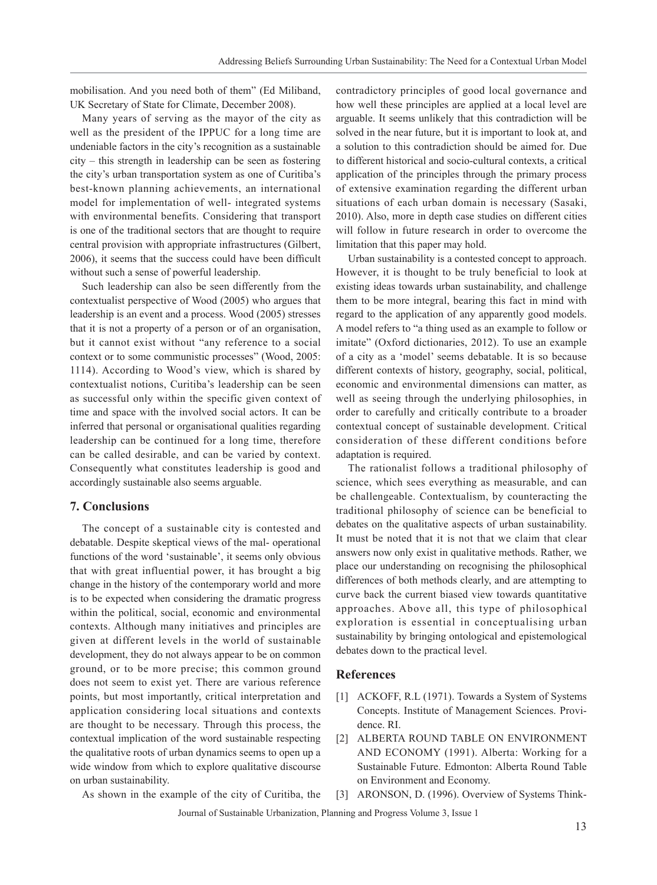mobilisation. And you need both of them" (Ed Miliband, UK Secretary of State for Climate, December 2008).

Many years of serving as the mayor of the city as well as the president of the IPPUC for a long time are undeniable factors in the city's recognition as a sustainable city – this strength in leadership can be seen as fostering the city's urban transportation system as one of Curitiba's best-known planning achievements, an international model for implementation of well- integrated systems with environmental benefits. Considering that transport is one of the traditional sectors that are thought to require central provision with appropriate infrastructures (Gilbert, 2006), it seems that the success could have been difficult without such a sense of powerful leadership.

Such leadership can also be seen differently from the contextualist perspective of Wood (2005) who argues that leadership is an event and a process. Wood (2005) stresses that it is not a property of a person or of an organisation, but it cannot exist without "any reference to a social context or to some communistic processes" (Wood, 2005: 1114). According to Wood's view, which is shared by contextualist notions, Curitiba's leadership can be seen as successful only within the specific given context of time and space with the involved social actors. It can be inferred that personal or organisational qualities regarding leadership can be continued for a long time, therefore can be called desirable, and can be varied by context. Consequently what constitutes leadership is good and accordingly sustainable also seems arguable.

### **7. Conclusions**

The concept of a sustainable city is contested and debatable. Despite skeptical views of the mal- operational functions of the word 'sustainable', it seems only obvious that with great influential power, it has brought a big change in the history of the contemporary world and more is to be expected when considering the dramatic progress within the political, social, economic and environmental contexts. Although many initiatives and principles are given at different levels in the world of sustainable development, they do not always appear to be on common ground, or to be more precise; this common ground does not seem to exist yet. There are various reference points, but most importantly, critical interpretation and application considering local situations and contexts are thought to be necessary. Through this process, the contextual implication of the word sustainable respecting the qualitative roots of urban dynamics seems to open up a wide window from which to explore qualitative discourse on urban sustainability.

As shown in the example of the city of Curitiba, the

contradictory principles of good local governance and how well these principles are applied at a local level are arguable. It seems unlikely that this contradiction will be solved in the near future, but it is important to look at, and a solution to this contradiction should be aimed for. Due to different historical and socio-cultural contexts, a critical application of the principles through the primary process of extensive examination regarding the different urban situations of each urban domain is necessary (Sasaki, 2010). Also, more in depth case studies on different cities will follow in future research in order to overcome the limitation that this paper may hold.

Urban sustainability is a contested concept to approach. However, it is thought to be truly beneficial to look at existing ideas towards urban sustainability, and challenge them to be more integral, bearing this fact in mind with regard to the application of any apparently good models. A model refers to "a thing used as an example to follow or imitate" (Oxford dictionaries, 2012). To use an example of a city as a 'model' seems debatable. It is so because different contexts of history, geography, social, political, economic and environmental dimensions can matter, as well as seeing through the underlying philosophies, in order to carefully and critically contribute to a broader contextual concept of sustainable development. Critical consideration of these different conditions before adaptation is required.

The rationalist follows a traditional philosophy of science, which sees everything as measurable, and can be challengeable. Contextualism, by counteracting the traditional philosophy of science can be beneficial to debates on the qualitative aspects of urban sustainability. It must be noted that it is not that we claim that clear answers now only exist in qualitative methods. Rather, we place our understanding on recognising the philosophical differences of both methods clearly, and are attempting to curve back the current biased view towards quantitative approaches. Above all, this type of philosophical exploration is essential in conceptualising urban sustainability by bringing ontological and epistemological debates down to the practical level.

#### **References**

- [1] ACKOFF, R.L (1971). Towards a System of Systems Concepts. Institute of Management Sciences. Providence. RI.
- [2] ALBERTA ROUND TABLE ON ENVIRONMENT AND ECONOMY (1991). Alberta: Working for a Sustainable Future. Edmonton: Alberta Round Table on Environment and Economy.
- [3] ARONSON, D. (1996). Overview of Systems Think-
- Journal of Sustainable Urbanization, Planning and Progress Volume 3, Issue 1